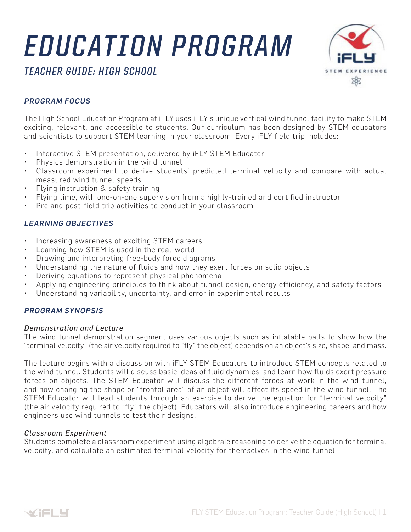# *EDUCATION PROGRAM*



# *TEACHER GUIDE: HIGH SCHOOL*

## *PROGRAM FOCUS*

The High School Education Program at iFLY uses iFLY's unique vertical wind tunnel facility to make STEM exciting, relevant, and accessible to students. Our curriculum has been designed by STEM educators and scientists to support STEM learning in your classroom. Every iFLY field trip includes:

- Interactive STEM presentation, delivered by iFLY STEM Educator
- Physics demonstration in the wind tunnel
- Classroom experiment to derive students' predicted terminal velocity and compare with actual measured wind tunnel speeds
- Flying instruction & safety training
- Flying time, with one-on-one supervision from a highly-trained and certified instructor
- Pre and post-field trip activities to conduct in your classroom

### *LEARNING OBJECTIVES*

- Increasing awareness of exciting STEM careers
- Learning how STEM is used in the real-world
- Drawing and interpreting free-body force diagrams
- Understanding the nature of fluids and how they exert forces on solid objects
- Deriving equations to represent physical phenomena
- Applying engineering principles to think about tunnel design, energy efficiency, and safety factors
- Understanding variability, uncertainty, and error in experimental results

#### *PROGRAM SYNOPSIS*

#### *Demonstration and Lecture*

The wind tunnel demonstration segment uses various objects such as inflatable balls to show how the "terminal velocity" (the air velocity required to "fly" the object) depends on an object's size, shape, and mass.

The lecture begins with a discussion with iFLY STEM Educators to introduce STEM concepts related to the wind tunnel. Students will discuss basic ideas of fluid dynamics, and learn how fluids exert pressure forces on objects. The STEM Educator will discuss the different forces at work in the wind tunnel, and how changing the shape or "frontal area" of an object will affect its speed in the wind tunnel. The STEM Educator will lead students through an exercise to derive the equation for "terminal velocity" (the air velocity required to "fly" the object). Educators will also introduce engineering careers and how engineers use wind tunnels to test their designs.

#### *Classroom Experiment*

Students complete a classroom experiment using algebraic reasoning to derive the equation for terminal velocity, and calculate an estimated terminal velocity for themselves in the wind tunnel.